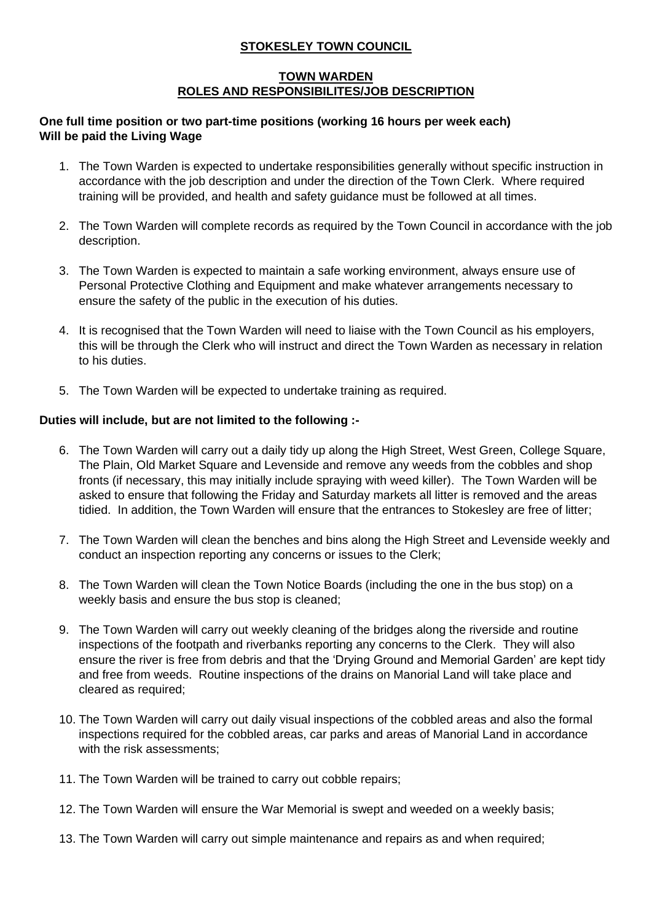## **STOKESLEY TOWN COUNCIL**

## **TOWN WARDEN ROLES AND RESPONSIBILITES/JOB DESCRIPTION**

## **One full time position or two part-time positions (working 16 hours per week each) Will be paid the Living Wage**

- 1. The Town Warden is expected to undertake responsibilities generally without specific instruction in accordance with the job description and under the direction of the Town Clerk. Where required training will be provided, and health and safety guidance must be followed at all times.
- 2. The Town Warden will complete records as required by the Town Council in accordance with the job description.
- 3. The Town Warden is expected to maintain a safe working environment, always ensure use of Personal Protective Clothing and Equipment and make whatever arrangements necessary to ensure the safety of the public in the execution of his duties.
- 4. It is recognised that the Town Warden will need to liaise with the Town Council as his employers, this will be through the Clerk who will instruct and direct the Town Warden as necessary in relation to his duties.
- 5. The Town Warden will be expected to undertake training as required.

## **Duties will include, but are not limited to the following :-**

- 6. The Town Warden will carry out a daily tidy up along the High Street, West Green, College Square, The Plain, Old Market Square and Levenside and remove any weeds from the cobbles and shop fronts (if necessary, this may initially include spraying with weed killer). The Town Warden will be asked to ensure that following the Friday and Saturday markets all litter is removed and the areas tidied. In addition, the Town Warden will ensure that the entrances to Stokesley are free of litter;
- 7. The Town Warden will clean the benches and bins along the High Street and Levenside weekly and conduct an inspection reporting any concerns or issues to the Clerk;
- 8. The Town Warden will clean the Town Notice Boards (including the one in the bus stop) on a weekly basis and ensure the bus stop is cleaned;
- 9. The Town Warden will carry out weekly cleaning of the bridges along the riverside and routine inspections of the footpath and riverbanks reporting any concerns to the Clerk. They will also ensure the river is free from debris and that the 'Drying Ground and Memorial Garden' are kept tidy and free from weeds. Routine inspections of the drains on Manorial Land will take place and cleared as required;
- 10. The Town Warden will carry out daily visual inspections of the cobbled areas and also the formal inspections required for the cobbled areas, car parks and areas of Manorial Land in accordance with the risk assessments:
- 11. The Town Warden will be trained to carry out cobble repairs;
- 12. The Town Warden will ensure the War Memorial is swept and weeded on a weekly basis;
- 13. The Town Warden will carry out simple maintenance and repairs as and when required;